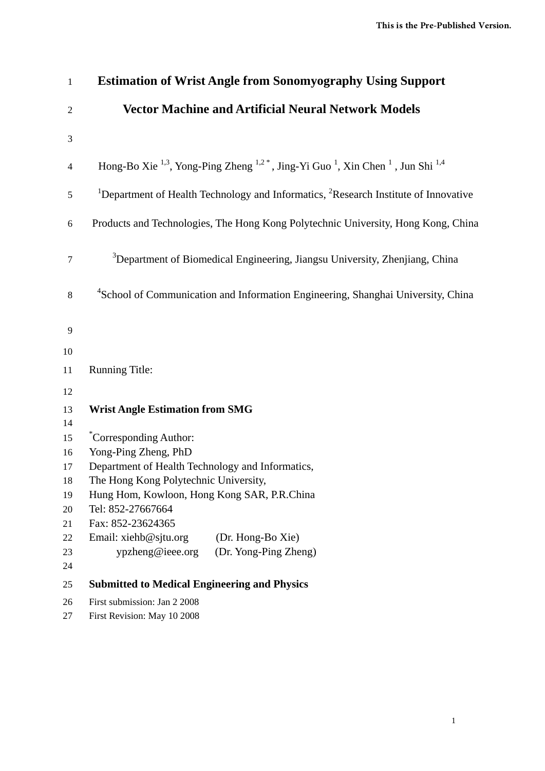| $\mathbf{1}$     | <b>Estimation of Wrist Angle from Sonomyography Using Support</b>                                                                                    |
|------------------|------------------------------------------------------------------------------------------------------------------------------------------------------|
| $\mathfrak{2}$   | <b>Vector Machine and Artificial Neural Network Models</b>                                                                                           |
| 3                |                                                                                                                                                      |
| $\overline{4}$   | Hong-Bo Xie <sup>1,3</sup> , Yong-Ping Zheng <sup>1,2</sup> <sup>*</sup> , Jing-Yi Guo <sup>1</sup> , Xin Chen <sup>1</sup> , Jun Shi <sup>1,4</sup> |
| 5                | <sup>1</sup> Department of Health Technology and Informatics, <sup>2</sup> Research Institute of Innovative                                          |
| $\boldsymbol{6}$ | Products and Technologies, The Hong Kong Polytechnic University, Hong Kong, China                                                                    |
| $\tau$           | <sup>3</sup> Department of Biomedical Engineering, Jiangsu University, Zhenjiang, China                                                              |
| 8                | <sup>4</sup> School of Communication and Information Engineering, Shanghai University, China                                                         |
| 9                |                                                                                                                                                      |
| 10               |                                                                                                                                                      |
| 11               | <b>Running Title:</b>                                                                                                                                |
| 12               |                                                                                                                                                      |
| 13<br>14         | <b>Wrist Angle Estimation from SMG</b>                                                                                                               |
| 15               | <i>*Corresponding Author:</i>                                                                                                                        |
| 16               | Yong-Ping Zheng, PhD                                                                                                                                 |
| 17               | Department of Health Technology and Informatics,                                                                                                     |
| 18<br>19         | The Hong Kong Polytechnic University,<br>Hung Hom, Kowloon, Hong Kong SAR, P.R.China                                                                 |
| 20               | Tel: 852-27667664                                                                                                                                    |
| 21               | Fax: 852-23624365                                                                                                                                    |
| 22               | Email: xiehb@sjtu.org<br>(Dr. Hong-Bo Xie)                                                                                                           |
| 23               | ypzheng@ieee.org<br>(Dr. Yong-Ping Zheng)                                                                                                            |
| 24               |                                                                                                                                                      |
| 25               | <b>Submitted to Medical Engineering and Physics</b>                                                                                                  |
| 26               | First submission: Jan 2 2008                                                                                                                         |
| 27               | First Revision: May 10 2008                                                                                                                          |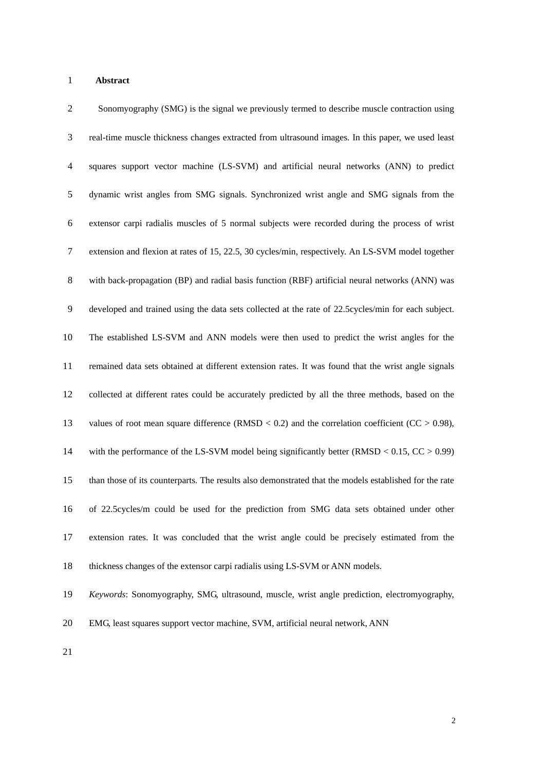# 1 **Abstract**

| $\mathfrak{2}$ | Sonomyography (SMG) is the signal we previously termed to describe muscle contraction using            |
|----------------|--------------------------------------------------------------------------------------------------------|
| 3              | real-time muscle thickness changes extracted from ultrasound images. In this paper, we used least      |
| $\overline{4}$ | squares support vector machine (LS-SVM) and artificial neural networks (ANN) to predict                |
| 5              | dynamic wrist angles from SMG signals. Synchronized wrist angle and SMG signals from the               |
| 6              | extensor carpi radialis muscles of 5 normal subjects were recorded during the process of wrist         |
| $\tau$         | extension and flexion at rates of 15, 22.5, 30 cycles/min, respectively. An LS-SVM model together      |
| 8              | with back-propagation (BP) and radial basis function (RBF) artificial neural networks (ANN) was        |
| 9              | developed and trained using the data sets collected at the rate of 22.5cycles/min for each subject.    |
| 10             | The established LS-SVM and ANN models were then used to predict the wrist angles for the               |
| 11             | remained data sets obtained at different extension rates. It was found that the wrist angle signals    |
| 12             | collected at different rates could be accurately predicted by all the three methods, based on the      |
| 13             | values of root mean square difference (RMSD < 0.2) and the correlation coefficient (CC > 0.98),        |
| 14             | with the performance of the LS-SVM model being significantly better (RMSD $< 0.15$ , CC $> 0.99$ )     |
| 15             | than those of its counterparts. The results also demonstrated that the models established for the rate |
| 16             | of 22.5 cycles/m could be used for the prediction from SMG data sets obtained under other              |
| 17             | extension rates. It was concluded that the wrist angle could be precisely estimated from the           |
| 18             | thickness changes of the extensor carpi radialis using LS-SVM or ANN models.                           |
| 19             | Keywords: Sonomyography, SMG, ultrasound, muscle, wrist angle prediction, electromyography,            |
| 20             | EMG, least squares support vector machine, SVM, artificial neural network, ANN                         |
|                |                                                                                                        |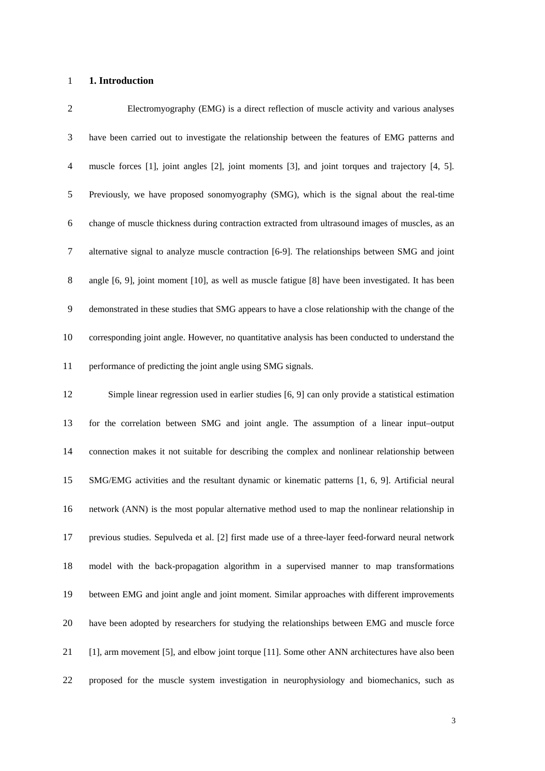# 1 **1. Introduction**

| $\overline{2}$ | Electromyography (EMG) is a direct reflection of muscle activity and various analyses              |
|----------------|----------------------------------------------------------------------------------------------------|
| 3              | have been carried out to investigate the relationship between the features of EMG patterns and     |
| $\overline{4}$ | muscle forces [1], joint angles [2], joint moments [3], and joint torques and trajectory [4, 5].   |
| 5              | Previously, we have proposed sonomyography (SMG), which is the signal about the real-time          |
| 6              | change of muscle thickness during contraction extracted from ultrasound images of muscles, as an   |
| $\overline{7}$ | alternative signal to analyze muscle contraction [6-9]. The relationships between SMG and joint    |
| 8              | angle [6, 9], joint moment [10], as well as muscle fatigue [8] have been investigated. It has been |
| 9              | demonstrated in these studies that SMG appears to have a close relationship with the change of the |
| 10             | corresponding joint angle. However, no quantitative analysis has been conducted to understand the  |
| 11             | performance of predicting the joint angle using SMG signals.                                       |
| 12             | Simple linear regression used in earlier studies [6, 9] can only provide a statistical estimation  |
| 13             | for the correlation between SMG and joint angle. The assumption of a linear input-output           |
| 14             | connection makes it not suitable for describing the complex and nonlinear relationship between     |
| 15             | SMG/EMG activities and the resultant dynamic or kinematic patterns [1, 6, 9]. Artificial neural    |
| 16             | network (ANN) is the most popular alternative method used to map the nonlinear relationship in     |
| 17             | previous studies. Sepulveda et al. [2] first made use of a three-layer feed-forward neural network |
| 18             | model with the back-propagation algorithm in a supervised manner to map transformations            |
| 19             | between EMG and joint angle and joint moment. Similar approaches with different improvements       |
| 20             | have been adopted by researchers for studying the relationships between EMG and muscle force       |
| 21             | [1], arm movement [5], and elbow joint torque [11]. Some other ANN architectures have also been    |
| 22             | proposed for the muscle system investigation in neurophysiology and biomechanics, such as          |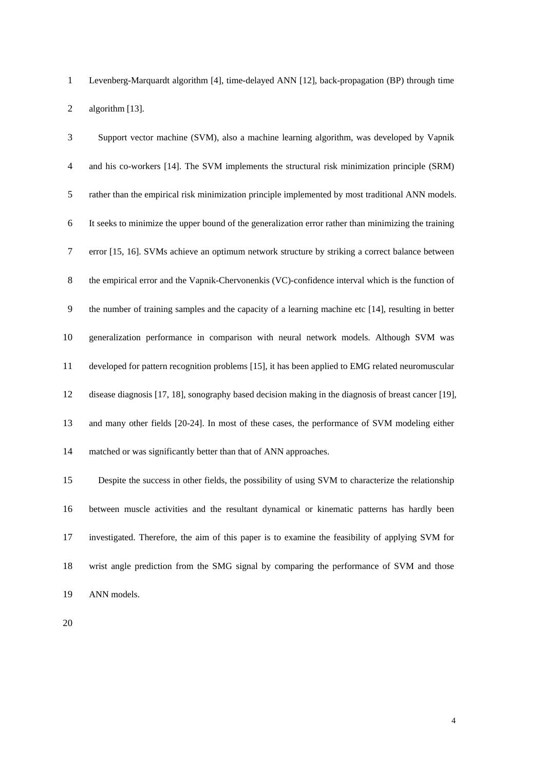1 Levenberg-Marquardt algorithm [4], time-delayed ANN [12], back-propagation (BP) through time 2 algorithm [13].

| 3              | Support vector machine (SVM), also a machine learning algorithm, was developed by Vapnik             |
|----------------|------------------------------------------------------------------------------------------------------|
| $\overline{4}$ | and his co-workers [14]. The SVM implements the structural risk minimization principle (SRM)         |
| 5              | rather than the empirical risk minimization principle implemented by most traditional ANN models.    |
| 6              | It seeks to minimize the upper bound of the generalization error rather than minimizing the training |
| $\tau$         | error [15, 16]. SVMs achieve an optimum network structure by striking a correct balance between      |
| $8\,$          | the empirical error and the Vapnik-Chervonenkis (VC)-confidence interval which is the function of    |
| 9              | the number of training samples and the capacity of a learning machine etc [14], resulting in better  |
| 10             | generalization performance in comparison with neural network models. Although SVM was                |
| 11             | developed for pattern recognition problems [15], it has been applied to EMG related neuromuscular    |
| 12             | disease diagnosis [17, 18], sonography based decision making in the diagnosis of breast cancer [19], |
| 13             | and many other fields [20-24]. In most of these cases, the performance of SVM modeling either        |
| 14             | matched or was significantly better than that of ANN approaches.                                     |
| 15             | Despite the success in other fields, the possibility of using SVM to characterize the relationship   |
| 16             | between muscle activities and the resultant dynamical or kinematic patterns has hardly been          |
| 17             | investigated. Therefore, the aim of this paper is to examine the feasibility of applying SVM for     |
| 18             | wrist angle prediction from the SMG signal by comparing the performance of SVM and those             |

- 19 ANN models.
- 20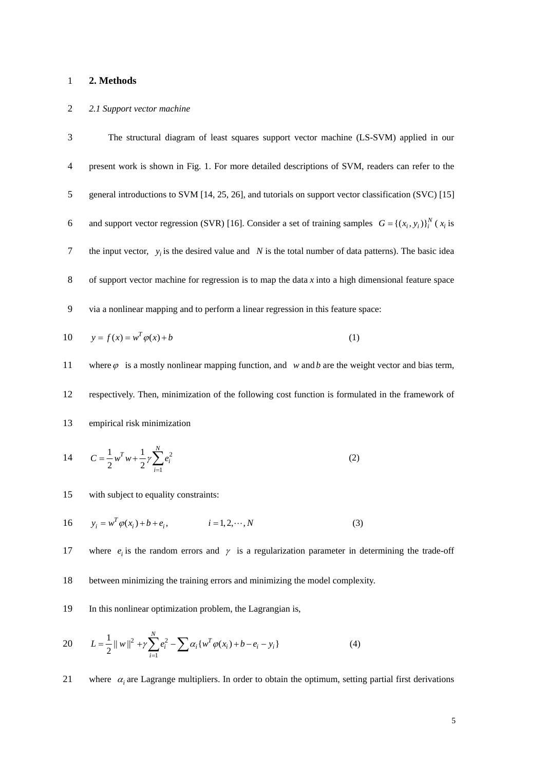# 1 **2. Methods**

### 2 *2.1 Support vector machine*

3 The structural diagram of least squares support vector machine (LS-SVM) applied in our 4 present work is shown in Fig. 1. For more detailed descriptions of SVM, readers can refer to the 5 general introductions to SVM [14, 25, 26], and tutorials on support vector classification (SVC) [15] 6 and support vector regression (SVR) [16]. Consider a set of training samples  $G = \{(x_i, y_i)\}_{i=1}^{N}$  ( $x_i$  is 7 the input vector,  $y_i$  is the desired value and *N* is the total number of data patterns). The basic idea 8 of support vector machine for regression is to map the data *x* into a high dimensional feature space 9 via a nonlinear mapping and to perform a linear regression in this feature space:  $10 \qquad y = f(x) = w^T \varphi(x) + b$  (1) 11 where  $\varphi$  is a mostly nonlinear mapping function, and *w* and *b* are the weight vector and bias term, 12 respectively. Then, minimization of the following cost function is formulated in the framework of 13 empirical risk minimization 2 1  $1 \t T \t 1$  $2^{\sim}$  2  $T w + \frac{1}{2} \gamma \sum_{i=1}^{N} e_i$ *i*  $C = -w^I w + \frac{1}{2} \gamma \sum e$ 14  $C = \frac{1}{2} w^T w + \frac{1}{2} \gamma \sum_{i=1} e_i^2$  (2) 15 with subject to equality constraints:  $16 \qquad y_i = w^T \varphi(x_i) + b + e_i, \qquad i = 1, 2, \cdots, N$  (3) 17 where  $e_i$  is the random errors and  $\gamma$  is a regularization parameter in determining the trade-off

18 between minimizing the training errors and minimizing the model complexity.

19 In this nonlinear optimization problem, the Lagrangian is,

20 
$$
L = \frac{1}{2} ||w||^2 + \gamma \sum_{i=1}^{N} e_i^2 - \sum \alpha_i \{w^T \varphi(x_i) + b - e_i - y_i\}
$$
 (4)

21 where  $\alpha_i$  are Lagrange multipliers. In order to obtain the optimum, setting partial first derivations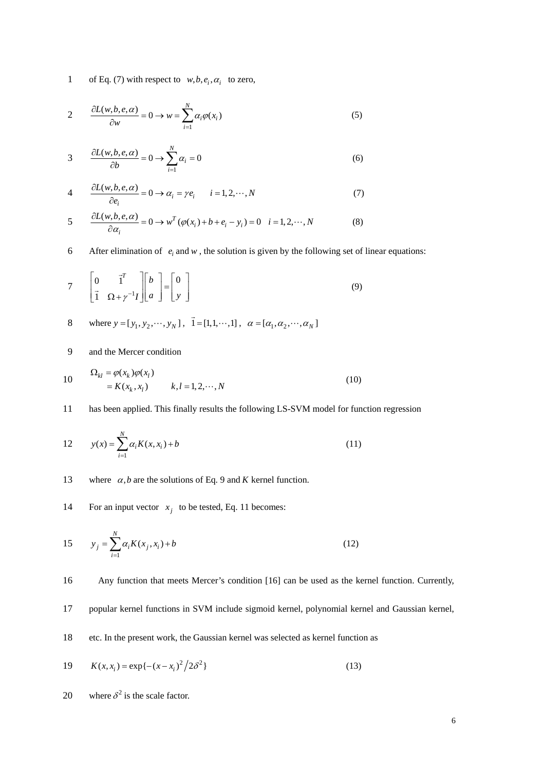1 of Eq. (7) with respect to  $w, b, e_i, \alpha_i$  to zero,

$$
2 \qquad \frac{\partial L(w, b, e, \alpha)}{\partial w} = 0 \to w = \sum_{i=1}^{N} \alpha_i \varphi(x_i)
$$
 (5)

$$
3 \frac{\partial L(w, b, e, \alpha)}{\partial b} = 0 \to \sum_{i=1}^{N} \alpha_i = 0 \tag{6}
$$

4 
$$
\frac{\partial L(w, b, e, \alpha)}{\partial e_i} = 0 \rightarrow \alpha_i = \gamma e_i \qquad i = 1, 2, \cdots, N
$$
 (7)

$$
5 \frac{\partial L(w, b, e, \alpha)}{\partial \alpha_i} = 0 \to w^T (\varphi(x_i) + b + e_i - y_i) = 0 \quad i = 1, 2, \cdots, N
$$
 (8)

6 After elimination of  $e_i$  and  $w$ , the solution is given by the following set of linear equations:

$$
7 \qquad \begin{bmatrix} 0 & \vec{1}^T \\ \vec{1} & \Omega + \gamma^{-1}I \end{bmatrix} \begin{bmatrix} b \\ a \end{bmatrix} = \begin{bmatrix} 0 \\ y \end{bmatrix} \tag{9}
$$

8 where 
$$
y = [y_1, y_2, \dots, y_N]
$$
,  $\vec{1} = [1, 1, \dots, 1]$ ,  $\alpha = [\alpha_1, \alpha_2, \dots, \alpha_N]$ 

9 and the Mercer condition

10 
$$
\Omega_{kl} = \varphi(x_k) \varphi(x_l)
$$

$$
= K(x_k, x_l) \qquad k, l = 1, 2, \cdots, N
$$
 (10)

11 has been applied. This finally results the following LS-SVM model for function regression

12 
$$
y(x) = \sum_{i=1}^{N} \alpha_i K(x, x_i) + b
$$
 (11)

- 13 where  $\alpha$ , *b* are the solutions of Eq. 9 and *K* kernel function.
- For an input vector  $x_i$  to be tested, Eq. 11 becomes:

15 
$$
y_j = \sum_{i=1}^{N} \alpha_i K(x_j, x_i) + b
$$
 (12)

16 Any function that meets Mercer's condition [16] can be used as the kernel function. Currently,

- 17 popular kernel functions in SVM include sigmoid kernel, polynomial kernel and Gaussian kernel,
- 18 etc. In the present work, the Gaussian kernel was selected as kernel function as

19 
$$
K(x, x_i) = \exp\{-(x - x_i)^2 / 2\delta^2\}
$$
 (13)

20 where  $\delta^2$  is the scale factor.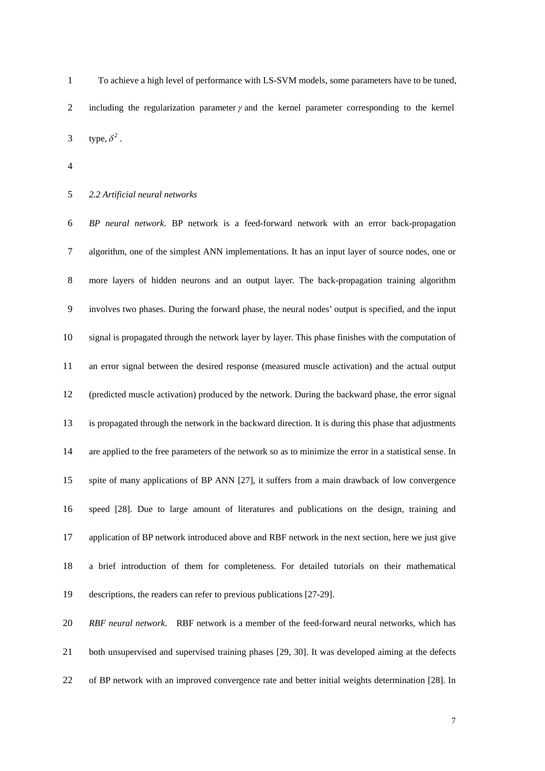1 To achieve a high level of performance with LS-SVM models, some parameters have to be tuned, 2 including the regularization parameter  $\gamma$  and the kernel parameter corresponding to the kernel 3 type,  $\delta^2$ .

4

### 5 *2.2 Artificial neural networks*

6 *BP neural network*. BP network is a feed-forward network with an error back-propagation 7 algorithm, one of the simplest ANN implementations. It has an input layer of source nodes, one or 8 more layers of hidden neurons and an output layer. The back-propagation training algorithm 9 involves two phases. During the forward phase, the neural nodes' output is specified, and the input 10 signal is propagated through the network layer by layer. This phase finishes with the computation of 11 an error signal between the desired response (measured muscle activation) and the actual output 12 (predicted muscle activation) produced by the network. During the backward phase, the error signal 13 is propagated through the network in the backward direction. It is during this phase that adjustments 14 are applied to the free parameters of the network so as to minimize the error in a statistical sense. In 15 spite of many applications of BP ANN [27], it suffers from a main drawback of low convergence 16 speed [28]. Due to large amount of literatures and publications on the design, training and 17 application of BP network introduced above and RBF network in the next section, here we just give 18 a brief introduction of them for completeness. For detailed tutorials on their mathematical 19 descriptions, the readers can refer to previous publications [27-29].

20 *RBF neural network*. RBF network is a member of the feed-forward neural networks, which has 21 both unsupervised and supervised training phases [29, 30]. It was developed aiming at the defects 22 of BP network with an improved convergence rate and better initial weights determination [28]. In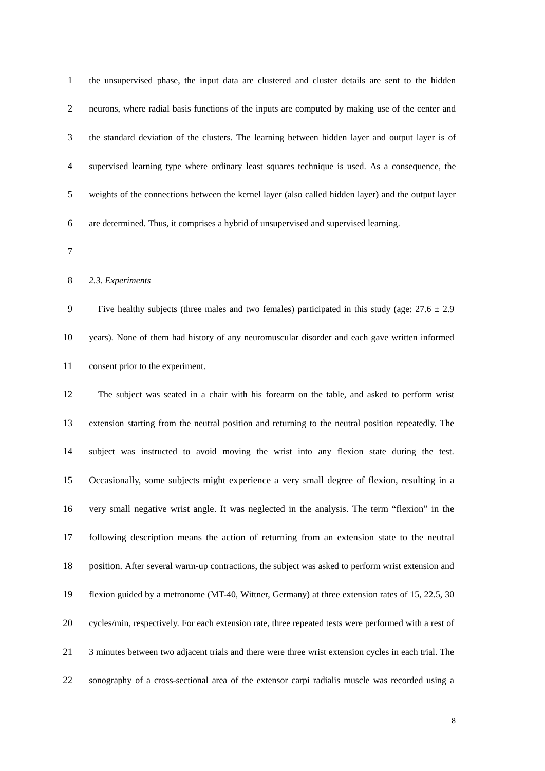| $\mathbf{1}$   | the unsupervised phase, the input data are clustered and cluster details are sent to the hidden     |
|----------------|-----------------------------------------------------------------------------------------------------|
| $\overline{2}$ | neurons, where radial basis functions of the inputs are computed by making use of the center and    |
| 3              | the standard deviation of the clusters. The learning between hidden layer and output layer is of    |
| 4              | supervised learning type where ordinary least squares technique is used. As a consequence, the      |
| 5              | weights of the connections between the kernel layer (also called hidden layer) and the output layer |
| 6              | are determined. Thus, it comprises a hybrid of unsupervised and supervised learning.                |
| 7              |                                                                                                     |
| 8              | 2.3. Experiments                                                                                    |
| 9              | Five healthy subjects (three males and two females) participated in this study (age: $27.6 \pm 2.9$ |
| 10             | years). None of them had history of any neuromuscular disorder and each gave written informed       |
| 11             | consent prior to the experiment.                                                                    |
| 12             | The subject was seated in a chair with his forearm on the table, and asked to perform wrist         |
| 13             | extension starting from the neutral position and returning to the neutral position repeatedly. The  |
| 14             | subject was instructed to avoid moving the wrist into any flexion state during the test.            |
| 15             | Occasionally, some subjects might experience a very small degree of flexion, resulting in a         |
| 16             | very small negative wrist angle. It was neglected in the analysis. The term "flexion" in the        |
| 17             | following description means the action of returning from an extension state to the neutral          |
|                |                                                                                                     |

18 position. After several warm-up contractions, the subject was asked to perform wrist extension and 19 flexion guided by a metronome (MT-40, Wittner, Germany) at three extension rates of 15, 22.5, 30 20 cycles/min, respectively. For each extension rate, three repeated tests were performed with a rest of 21 3 minutes between two adjacent trials and there were three wrist extension cycles in each trial. The

22 sonography of a cross-sectional area of the extensor carpi radialis muscle was recorded using a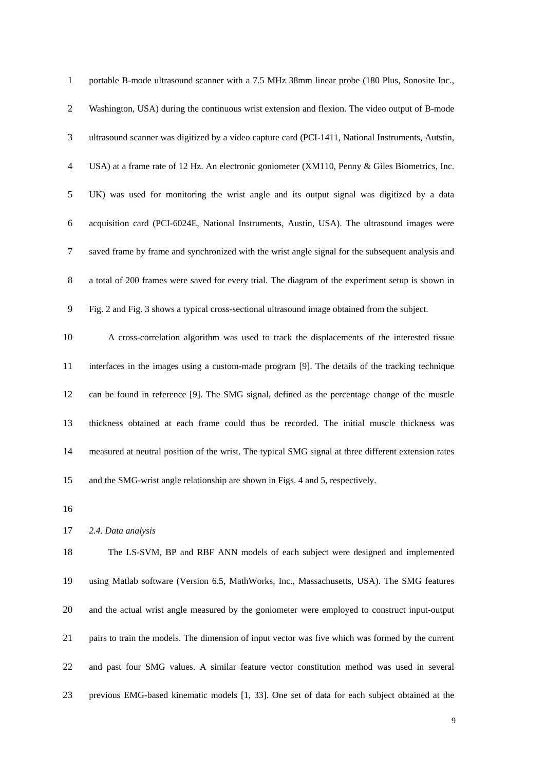| $\mathbf{1}$     | portable B-mode ultrasound scanner with a 7.5 MHz 38mm linear probe (180 Plus, Sonosite Inc.,        |
|------------------|------------------------------------------------------------------------------------------------------|
| $\overline{c}$   | Washington, USA) during the continuous wrist extension and flexion. The video output of B-mode       |
| 3                | ultrasound scanner was digitized by a video capture card (PCI-1411, National Instruments, Autstin,   |
| $\overline{4}$   | USA) at a frame rate of 12 Hz. An electronic goniometer (XM110, Penny & Giles Biometrics, Inc.       |
| 5                | UK) was used for monitoring the wrist angle and its output signal was digitized by a data            |
| $\boldsymbol{6}$ | acquisition card (PCI-6024E, National Instruments, Austin, USA). The ultrasound images were          |
| $\tau$           | saved frame by frame and synchronized with the wrist angle signal for the subsequent analysis and    |
| $8\,$            | a total of 200 frames were saved for every trial. The diagram of the experiment setup is shown in    |
| 9                | Fig. 2 and Fig. 3 shows a typical cross-sectional ultrasound image obtained from the subject.        |
| 10               | A cross-correlation algorithm was used to track the displacements of the interested tissue           |
| 11               | interfaces in the images using a custom-made program [9]. The details of the tracking technique      |
| 12               | can be found in reference [9]. The SMG signal, defined as the percentage change of the muscle        |
| 13               | thickness obtained at each frame could thus be recorded. The initial muscle thickness was            |
| 14               | measured at neutral position of the wrist. The typical SMG signal at three different extension rates |
| 15               | and the SMG-wrist angle relationship are shown in Figs. 4 and 5, respectively.                       |
| 16               |                                                                                                      |
| 17               | 2.4. Data analysis                                                                                   |
| 18               | The LS-SVM, BP and RBF ANN models of each subject were designed and implemented                      |
| 19               | using Matlab software (Version 6.5, MathWorks, Inc., Massachusetts, USA). The SMG features           |
| 20               | and the actual wrist angle measured by the goniometer were employed to construct input-output        |
| 21               | pairs to train the models. The dimension of input vector was five which was formed by the current    |
| 22               | and past four SMG values. A similar feature vector constitution method was used in several           |
| 23               | previous EMG-based kinematic models [1, 33]. One set of data for each subject obtained at the        |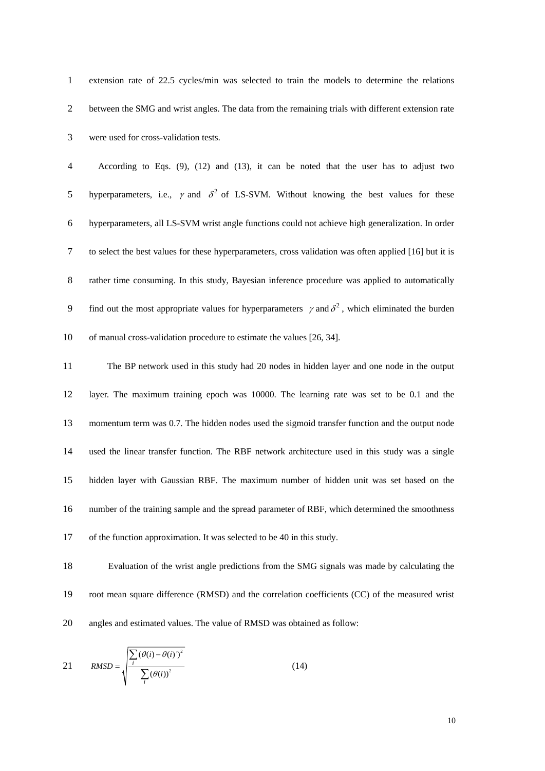| $\mathbf{1}$   | extension rate of 22.5 cycles/min was selected to train the models to determine the relations                  |
|----------------|----------------------------------------------------------------------------------------------------------------|
| $\overline{2}$ | between the SMG and wrist angles. The data from the remaining trials with different extension rate             |
| 3              | were used for cross-validation tests.                                                                          |
| $\overline{4}$ | According to Eqs. $(9)$ , $(12)$ and $(13)$ , it can be noted that the user has to adjust two                  |
| 5              | hyperparameters, i.e., $\gamma$ and $\delta^2$ of LS-SVM. Without knowing the best values for these            |
| 6              | hyperparameters, all LS-SVM wrist angle functions could not achieve high generalization. In order              |
| $\tau$         | to select the best values for these hyperparameters, cross validation was often applied [16] but it is         |
| $8\,$          | rather time consuming. In this study, Bayesian inference procedure was applied to automatically                |
| 9              | find out the most appropriate values for hyperparameters $\gamma$ and $\delta^2$ , which eliminated the burden |
| 10             | of manual cross-validation procedure to estimate the values [26, 34].                                          |
| 11             | The BP network used in this study had 20 nodes in hidden layer and one node in the output                      |
| 12             | layer. The maximum training epoch was 10000. The learning rate was set to be 0.1 and the                       |
| 13             | momentum term was 0.7. The hidden nodes used the sigmoid transfer function and the output node                 |
| 14             | used the linear transfer function. The RBF network architecture used in this study was a single                |
| 15             | hidden layer with Gaussian RBF. The maximum number of hidden unit was set based on the                         |
| 16             | number of the training sample and the spread parameter of RBF, which determined the smoothness                 |
| 17             | of the function approximation. It was selected to be 40 in this study.                                         |
| 18             | Evaluation of the wrist angle predictions from the SMG signals was made by calculating the                     |
| 19             | root mean square difference (RMSD) and the correlation coefficients (CC) of the measured wrist                 |

20 angles and estimated values. The value of RMSD was obtained as follow:

$$
21 \qquad RMSD = \sqrt{\frac{\sum_{i} (\theta(i) - \theta(i))^2}{\sum_{i} (\theta(i))^2}}
$$
(14)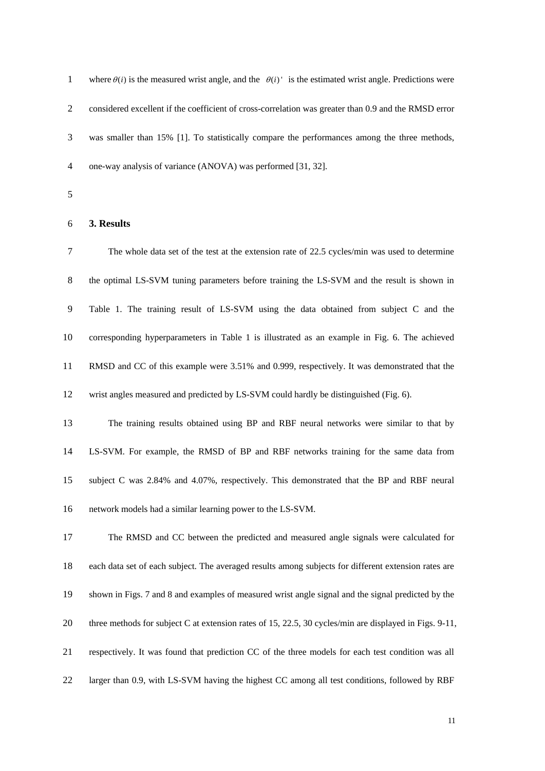| $\mathbf{1}$   | where $\theta(i)$ is the measured wrist angle, and the $\theta(i)$ is the estimated wrist angle. Predictions were |
|----------------|-------------------------------------------------------------------------------------------------------------------|
| $\overline{2}$ | considered excellent if the coefficient of cross-correlation was greater than 0.9 and the RMSD error              |
| 3              | was smaller than 15% [1]. To statistically compare the performances among the three methods,                      |
| $\overline{4}$ | one-way analysis of variance (ANOVA) was performed [31, 32].                                                      |
| 5              |                                                                                                                   |
| 6              | 3. Results                                                                                                        |
| 7              | The whole data set of the test at the extension rate of 22.5 cycles/min was used to determine                     |
| 8              | the optimal LS-SVM tuning parameters before training the LS-SVM and the result is shown in                        |
| 9              | Table 1. The training result of LS-SVM using the data obtained from subject C and the                             |
| 10             | corresponding hyperparameters in Table 1 is illustrated as an example in Fig. 6. The achieved                     |
| 11             | RMSD and CC of this example were 3.51% and 0.999, respectively. It was demonstrated that the                      |
| 12             | wrist angles measured and predicted by LS-SVM could hardly be distinguished (Fig. 6).                             |
| 13             | The training results obtained using BP and RBF neural networks were similar to that by                            |
| 14             | LS-SVM. For example, the RMSD of BP and RBF networks training for the same data from                              |
| 15             | subject C was 2.84% and 4.07%, respectively. This demonstrated that the BP and RBF neural                         |
| 16             | network models had a similar learning power to the LS-SVM.                                                        |
| 17             | The RMSD and CC between the predicted and measured angle signals were calculated for                              |
| 18             | each data set of each subject. The averaged results among subjects for different extension rates are              |
| 19             | shown in Figs. 7 and 8 and examples of measured wrist angle signal and the signal predicted by the                |
| 20             | three methods for subject C at extension rates of 15, 22.5, 30 cycles/min are displayed in Figs. 9-11,            |
| 21             | respectively. It was found that prediction CC of the three models for each test condition was all                 |
| 22             | larger than 0.9, with LS-SVM having the highest CC among all test conditions, followed by RBF                     |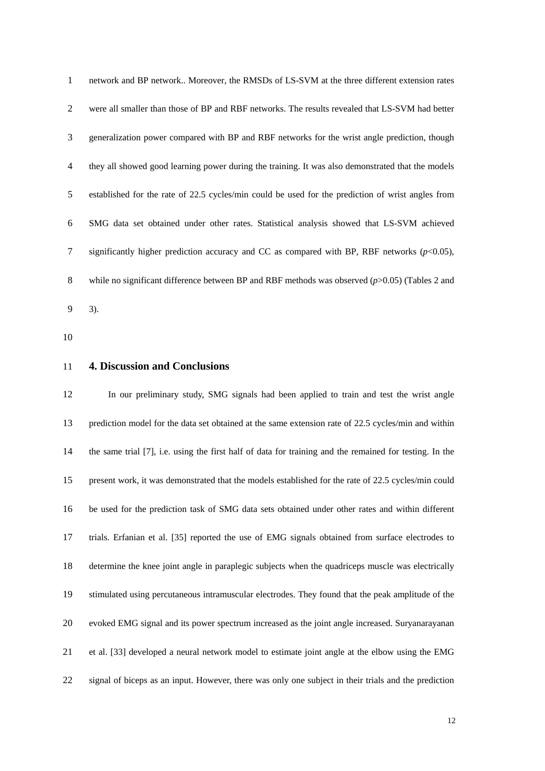|                | network and BP network Moreover, the RMSDs of LS-SVM at the three different extension rates             |
|----------------|---------------------------------------------------------------------------------------------------------|
| $\overline{2}$ | were all smaller than those of BP and RBF networks. The results revealed that LS-SVM had better         |
| 3              | generalization power compared with BP and RBF networks for the wrist angle prediction, though           |
| 4              | they all showed good learning power during the training. It was also demonstrated that the models       |
| 5              | established for the rate of 22.5 cycles/min could be used for the prediction of wrist angles from       |
| 6              | SMG data set obtained under other rates. Statistical analysis showed that LS-SVM achieved               |
| 7              | significantly higher prediction accuracy and CC as compared with BP, RBF networks $(p<0.05)$ ,          |
| 8              | while no significant difference between BP and RBF methods was observed $(p>0.05)$ (Tables 2 and        |
| 9              | 3).                                                                                                     |
| 10             |                                                                                                         |
| 11             | <b>4. Discussion and Conclusions</b>                                                                    |
|                |                                                                                                         |
| 12             | In our preliminary study, SMG signals had been applied to train and test the wrist angle                |
| 13             | prediction model for the data set obtained at the same extension rate of 22.5 cycles/min and within     |
| 14             | the same trial [7], i.e. using the first half of data for training and the remained for testing. In the |
| 15             | present work, it was demonstrated that the models established for the rate of 22.5 cycles/min could     |
| 16             | be used for the prediction task of SMG data sets obtained under other rates and within different        |
| 17             | trials. Erfanian et al. [35] reported the use of EMG signals obtained from surface electrodes to        |
| 18             | determine the knee joint angle in paraplegic subjects when the quadriceps muscle was electrically       |
| 19             | stimulated using percutaneous intramuscular electrodes. They found that the peak amplitude of the       |
| 20             | evoked EMG signal and its power spectrum increased as the joint angle increased. Suryanarayanan         |

22 signal of biceps as an input. However, there was only one subject in their trials and the prediction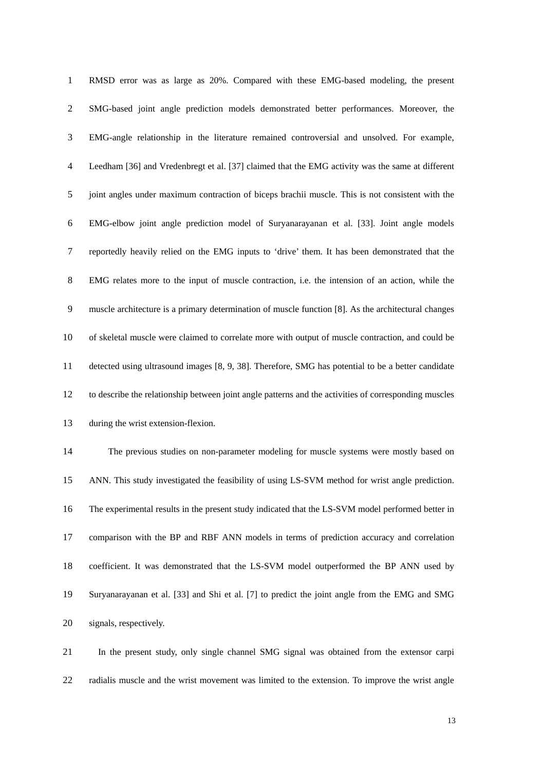| $\mathbf{1}$   | RMSD error was as large as 20%. Compared with these EMG-based modeling, the present                   |
|----------------|-------------------------------------------------------------------------------------------------------|
| $\overline{2}$ | SMG-based joint angle prediction models demonstrated better performances. Moreover, the               |
| 3              | EMG-angle relationship in the literature remained controversial and unsolved. For example,            |
| $\overline{4}$ | Leedham [36] and Vredenbregt et al. [37] claimed that the EMG activity was the same at different      |
| 5              | joint angles under maximum contraction of biceps brachii muscle. This is not consistent with the      |
| 6              | EMG-elbow joint angle prediction model of Suryanarayanan et al. [33]. Joint angle models              |
| $\tau$         | reportedly heavily relied on the EMG inputs to 'drive' them. It has been demonstrated that the        |
| $8\,$          | EMG relates more to the input of muscle contraction, i.e. the intension of an action, while the       |
| 9              | muscle architecture is a primary determination of muscle function [8]. As the architectural changes   |
| 10             | of skeletal muscle were claimed to correlate more with output of muscle contraction, and could be     |
| 11             | detected using ultrasound images [8, 9, 38]. Therefore, SMG has potential to be a better candidate    |
| 12             | to describe the relationship between joint angle patterns and the activities of corresponding muscles |
| 13             | during the wrist extension-flexion.                                                                   |
| 14             | The previous studies on non-parameter modeling for muscle systems were mostly based on                |
| 15             | ANN. This study investigated the feasibility of using LS-SVM method for wrist angle prediction.       |
| 16             | The experimental results in the present study indicated that the LS-SVM model performed better in     |
| 17             | comparison with the BP and RBF ANN models in terms of prediction accuracy and correlation             |
| 18             | coefficient. It was demonstrated that the LS-SVM model outperformed the BP ANN used by                |
| 19             | Suryanarayanan et al. [33] and Shi et al. [7] to predict the joint angle from the EMG and SMG         |
| 20             | signals, respectively.                                                                                |
|                |                                                                                                       |

21 In the present study, only single channel SMG signal was obtained from the extensor carpi 22 radialis muscle and the wrist movement was limited to the extension. To improve the wrist angle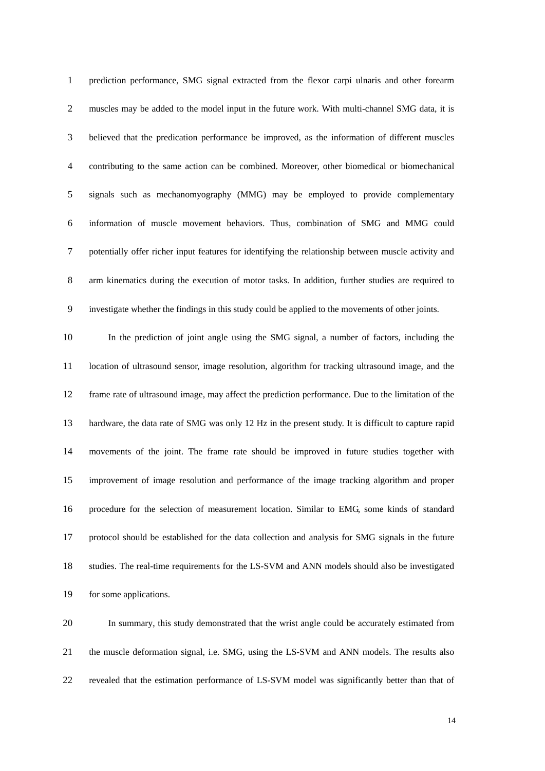| $\mathbf{1}$   | prediction performance, SMG signal extracted from the flexor carpi ulnaris and other forearm         |
|----------------|------------------------------------------------------------------------------------------------------|
| $\overline{2}$ | muscles may be added to the model input in the future work. With multi-channel SMG data, it is       |
| 3              | believed that the predication performance be improved, as the information of different muscles       |
| $\overline{4}$ | contributing to the same action can be combined. Moreover, other biomedical or biomechanical         |
| 5              | signals such as mechanomyography (MMG) may be employed to provide complementary                      |
| 6              | information of muscle movement behaviors. Thus, combination of SMG and MMG could                     |
| $\tau$         | potentially offer richer input features for identifying the relationship between muscle activity and |
| $8\,$          | arm kinematics during the execution of motor tasks. In addition, further studies are required to     |
| 9              | investigate whether the findings in this study could be applied to the movements of other joints.    |
| 10             | In the prediction of joint angle using the SMG signal, a number of factors, including the            |
| 11             | location of ultrasound sensor, image resolution, algorithm for tracking ultrasound image, and the    |
| 12             | frame rate of ultrasound image, may affect the prediction performance. Due to the limitation of the  |
| 13             | hardware, the data rate of SMG was only 12 Hz in the present study. It is difficult to capture rapid |
| 14             | movements of the joint. The frame rate should be improved in future studies together with            |
| 15             | improvement of image resolution and performance of the image tracking algorithm and proper           |
| 16             | procedure for the selection of measurement location. Similar to EMG, some kinds of standard          |
| 17             | protocol should be established for the data collection and analysis for SMG signals in the future    |
| 18             | studies. The real-time requirements for the LS-SVM and ANN models should also be investigated        |
| 19             | for some applications.                                                                               |
| 20             | In summary, this study demonstrated that the wrist angle could be accurately estimated from          |
| 21             | the muscle deformation signal, i.e. SMG, using the LS-SVM and ANN models. The results also           |

22 revealed that the estimation performance of LS-SVM model was significantly better than that of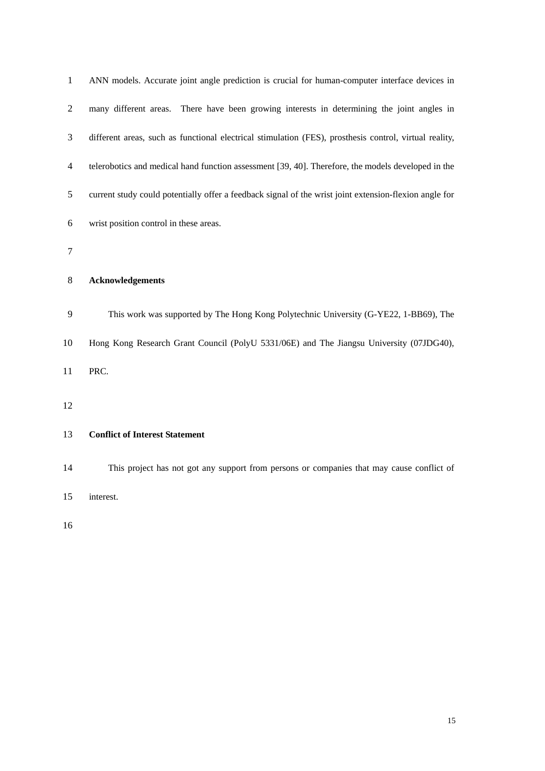| $\mathbf{1}$   | ANN models. Accurate joint angle prediction is crucial for human-computer interface devices in         |
|----------------|--------------------------------------------------------------------------------------------------------|
| $\overline{2}$ | many different areas. There have been growing interests in determining the joint angles in             |
| 3              | different areas, such as functional electrical stimulation (FES), prosthesis control, virtual reality, |
| 4              | telerobotics and medical hand function assessment [39, 40]. Therefore, the models developed in the     |
| 5              | current study could potentially offer a feedback signal of the wrist joint extension-flexion angle for |
| 6              | wrist position control in these areas.                                                                 |
| 7              |                                                                                                        |
| 8              | <b>Acknowledgements</b>                                                                                |
| 9              | This work was supported by The Hong Kong Polytechnic University (G-YE22, 1-BB69), The                  |
| 10             | Hong Kong Research Grant Council (PolyU 5331/06E) and The Jiangsu University (07JDG40),                |
| 11             | PRC.                                                                                                   |
| 12             |                                                                                                        |
| 13             | <b>Conflict of Interest Statement</b>                                                                  |
| 14             | This project has not got any support from persons or companies that may cause conflict of              |
| 15             | interest.                                                                                              |
| 16             |                                                                                                        |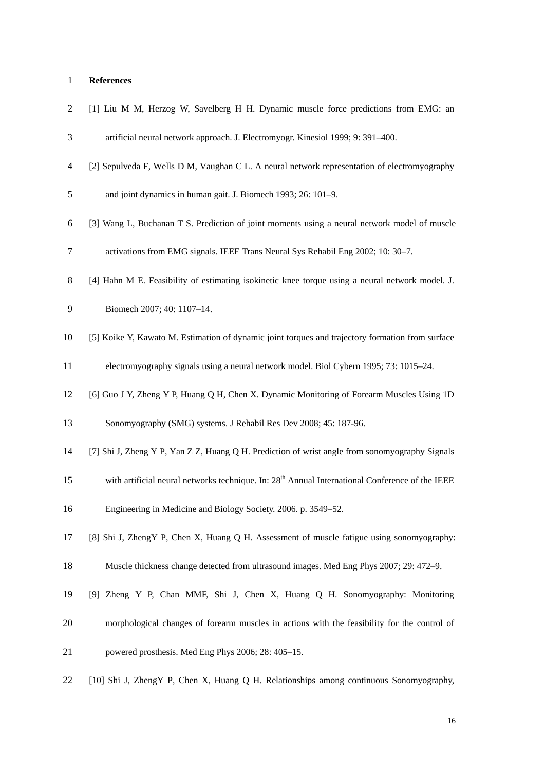# 1 **References**

| $\overline{c}$ | [1] Liu M M, Herzog W, Savelberg H H. Dynamic muscle force predictions from EMG: an                         |
|----------------|-------------------------------------------------------------------------------------------------------------|
| 3              | artificial neural network approach. J. Electromyogr. Kinesiol 1999; 9: 391-400.                             |
| $\overline{4}$ | [2] Sepulveda F, Wells D M, Vaughan C L. A neural network representation of electromyography                |
| 5              | and joint dynamics in human gait. J. Biomech 1993; 26: 101-9.                                               |
| 6              | [3] Wang L, Buchanan T S. Prediction of joint moments using a neural network model of muscle                |
| 7              | activations from EMG signals. IEEE Trans Neural Sys Rehabil Eng 2002; 10: 30-7.                             |
| 8              | [4] Hahn M E. Feasibility of estimating isokinetic knee torque using a neural network model. J.             |
| 9              | Biomech 2007; 40: 1107-14.                                                                                  |
| 10             | [5] Koike Y, Kawato M. Estimation of dynamic joint torques and trajectory formation from surface            |
| 11             | electromyography signals using a neural network model. Biol Cybern 1995; 73: 1015–24.                       |
| 12             | [6] Guo J Y, Zheng Y P, Huang Q H, Chen X. Dynamic Monitoring of Forearm Muscles Using 1D                   |
| 13             | Sonomyography (SMG) systems. J Rehabil Res Dev 2008; 45: 187-96.                                            |
| 14             | [7] Shi J, Zheng Y P, Yan Z Z, Huang Q H. Prediction of wrist angle from sonomyography Signals              |
| 15             | with artificial neural networks technique. In: 28 <sup>th</sup> Annual International Conference of the IEEE |
| 16             | Engineering in Medicine and Biology Society. 2006. p. 3549–52.                                              |
| 17             | [8] Shi J, ZhengY P, Chen X, Huang Q H. Assessment of muscle fatigue using sonomyography:                   |
| 18             | Muscle thickness change detected from ultrasound images. Med Eng Phys 2007; 29: 472–9.                      |
| 19             | [9] Zheng Y P, Chan MMF, Shi J, Chen X, Huang Q H. Sonomyography: Monitoring                                |
| 20             | morphological changes of forearm muscles in actions with the feasibility for the control of                 |
| 21             | powered prosthesis. Med Eng Phys 2006; 28: 405-15.                                                          |
| 22             | [10] Shi J, ZhengY P, Chen X, Huang Q H. Relationships among continuous Sonomyography,                      |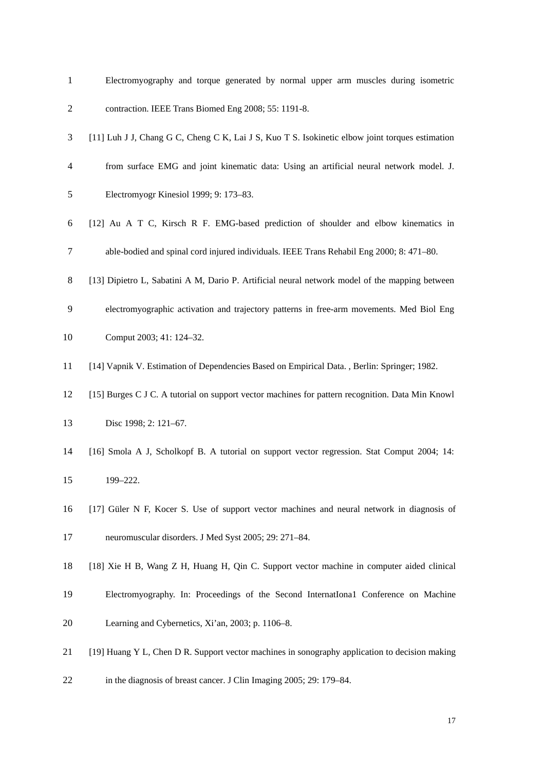| $\mathbf{1}$   | Electromyography and torque generated by normal upper arm muscles during isometric               |
|----------------|--------------------------------------------------------------------------------------------------|
| $\overline{2}$ | contraction. IEEE Trans Biomed Eng 2008; 55: 1191-8.                                             |
| 3              | [11] Luh J J, Chang G C, Cheng C K, Lai J S, Kuo T S. Isokinetic elbow joint torques estimation  |
| 4              | from surface EMG and joint kinematic data: Using an artificial neural network model. J.          |
| 5              | Electromyogr Kinesiol 1999; 9: 173-83.                                                           |
| 6              | [12] Au A T C, Kirsch R F. EMG-based prediction of shoulder and elbow kinematics in              |
| 7              | able-bodied and spinal cord injured individuals. IEEE Trans Rehabil Eng 2000; 8: 471-80.         |
| 8              | [13] Dipietro L, Sabatini A M, Dario P. Artificial neural network model of the mapping between   |
| 9              | electromyographic activation and trajectory patterns in free-arm movements. Med Biol Eng         |
| 10             | Comput 2003; 41: 124-32.                                                                         |
| 11             | [14] Vapnik V. Estimation of Dependencies Based on Empirical Data., Berlin: Springer; 1982.      |
| 12             | [15] Burges C J C. A tutorial on support vector machines for pattern recognition. Data Min Knowl |
| 13             | Disc 1998; 2: 121-67.                                                                            |
| 14             | [16] Smola A J, Scholkopf B. A tutorial on support vector regression. Stat Comput 2004; 14:      |
| 15             | 199-222.                                                                                         |
| 16             | [17] Güler N F, Kocer S. Use of support vector machines and neural network in diagnosis of       |
| 17             | neuromuscular disorders. J Med Syst 2005; 29: 271-84.                                            |
| 18             | [18] Xie H B, Wang Z H, Huang H, Qin C. Support vector machine in computer aided clinical        |
| 19             | Electromyography. In: Proceedings of the Second International Conference on Machine              |
| 20             | Learning and Cybernetics, Xi'an, 2003; p. 1106–8.                                                |
| 21             | [19] Huang Y L, Chen D R. Support vector machines in sonography application to decision making   |
| 22             | in the diagnosis of breast cancer. J Clin Imaging 2005; 29: 179–84.                              |
|                |                                                                                                  |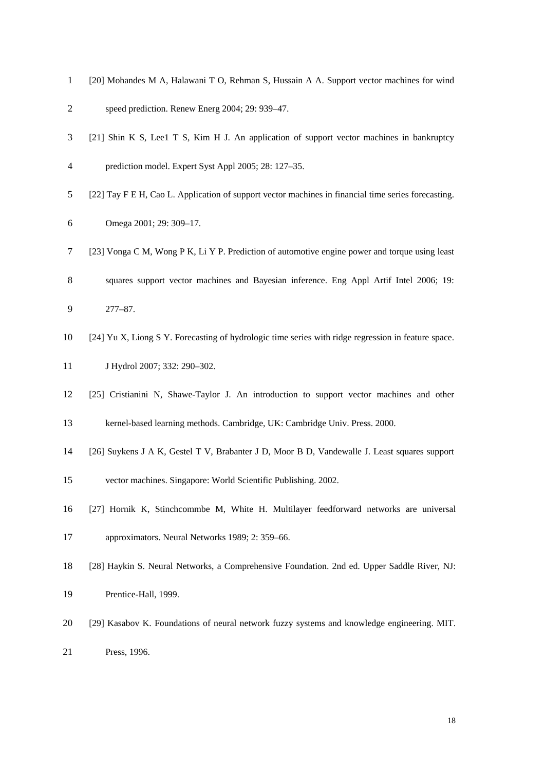| $\mathbf{1}$   | [20] Mohandes M A, Halawani T O, Rehman S, Hussain A A. Support vector machines for wind            |
|----------------|-----------------------------------------------------------------------------------------------------|
| $\overline{2}$ | speed prediction. Renew Energ 2004; 29: 939-47.                                                     |
| 3              | [21] Shin K S, Lee1 T S, Kim H J. An application of support vector machines in bankruptcy           |
| 4              | prediction model. Expert Syst Appl 2005; 28: 127-35.                                                |
| 5              | [22] Tay F E H, Cao L. Application of support vector machines in financial time series forecasting. |
| 6              | Omega 2001; 29: 309-17.                                                                             |
| 7              | [23] Vonga C M, Wong P K, Li Y P. Prediction of automotive engine power and torque using least      |
| 8              | squares support vector machines and Bayesian inference. Eng Appl Artif Intel 2006; 19:              |
| 9              | 277-87.                                                                                             |
| 10             | [24] Yu X, Liong S Y. Forecasting of hydrologic time series with ridge regression in feature space. |
| 11             | J Hydrol 2007; 332: 290-302.                                                                        |
| 12             | [25] Cristianini N, Shawe-Taylor J. An introduction to support vector machines and other            |
| 13             | kernel-based learning methods. Cambridge, UK: Cambridge Univ. Press. 2000.                          |
| 14             | [26] Suykens J A K, Gestel T V, Brabanter J D, Moor B D, Vandewalle J. Least squares support        |
| 15             | vector machines. Singapore: World Scientific Publishing. 2002.                                      |
| 16             | [27] Hornik K, Stinchcommbe M, White H. Multilayer feedforward networks are universal               |
| 17             | approximators. Neural Networks 1989; 2: 359-66.                                                     |
| 18             | [28] Haykin S. Neural Networks, a Comprehensive Foundation. 2nd ed. Upper Saddle River, NJ:         |
| 19             | Prentice-Hall, 1999.                                                                                |
| 20             | [29] Kasabov K. Foundations of neural network fuzzy systems and knowledge engineering. MIT.         |
| 21             | Press, 1996.                                                                                        |
|                |                                                                                                     |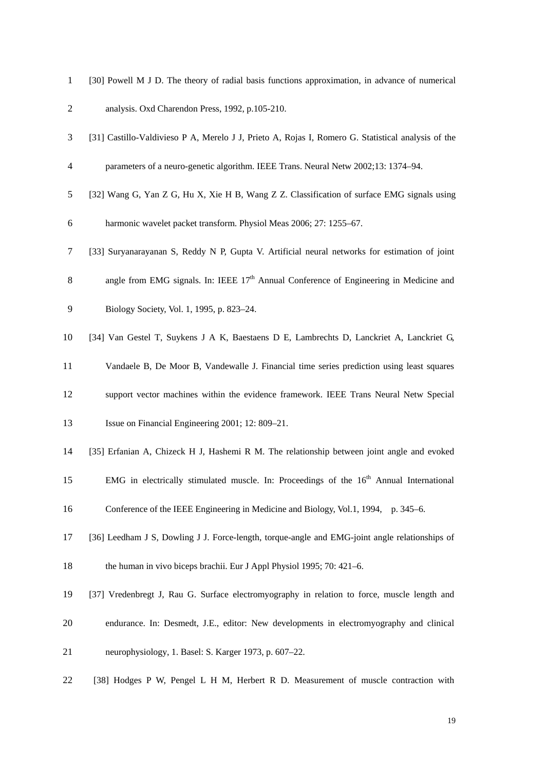| $\mathbf{1}$   | [30] Powell M J D. The theory of radial basis functions approximation, in advance of numerical     |
|----------------|----------------------------------------------------------------------------------------------------|
| $\overline{c}$ | analysis. Oxd Charendon Press, 1992, p.105-210.                                                    |
| 3              | [31] Castillo-Valdivieso P A, Merelo J J, Prieto A, Rojas I, Romero G. Statistical analysis of the |
| $\overline{4}$ | parameters of a neuro-genetic algorithm. IEEE Trans. Neural Netw 2002;13: 1374-94.                 |
| 5              | [32] Wang G, Yan Z G, Hu X, Xie H B, Wang Z Z. Classification of surface EMG signals using         |
| 6              | harmonic wavelet packet transform. Physiol Meas 2006; 27: 1255-67.                                 |
| 7              | [33] Suryanarayanan S, Reddy N P, Gupta V. Artificial neural networks for estimation of joint      |
| 8              | angle from EMG signals. In: IEEE $17th$ Annual Conference of Engineering in Medicine and           |
| 9              | Biology Society, Vol. 1, 1995, p. 823-24.                                                          |
| 10             | [34] Van Gestel T, Suykens J A K, Baestaens D E, Lambrechts D, Lanckriet A, Lanckriet G,           |
| 11             | Vandaele B, De Moor B, Vandewalle J. Financial time series prediction using least squares          |
| 12             | support vector machines within the evidence framework. IEEE Trans Neural Netw Special              |
| 13             | Issue on Financial Engineering 2001; 12: 809-21.                                                   |
| 14             | [35] Erfanian A, Chizeck H J, Hashemi R M. The relationship between joint angle and evoked         |
| 15             | EMG in electrically stimulated muscle. In: Proceedings of the $16th$ Annual International          |
| 16             | Conference of the IEEE Engineering in Medicine and Biology, Vol.1, 1994, p. 345–6.                 |
| 17             | [36] Leedham J S, Dowling J J. Force-length, torque-angle and EMG-joint angle relationships of     |
| 18             | the human in vivo biceps brachii. Eur J Appl Physiol 1995; 70: 421–6.                              |
| 19             | [37] Vredenbregt J, Rau G. Surface electromyography in relation to force, muscle length and        |
| 20             | endurance. In: Desmedt, J.E., editor: New developments in electromyography and clinical            |
| 21             | neurophysiology, 1. Basel: S. Karger 1973, p. 607–22.                                              |
| 22             | [38] Hodges P W, Pengel L H M, Herbert R D. Measurement of muscle contraction with                 |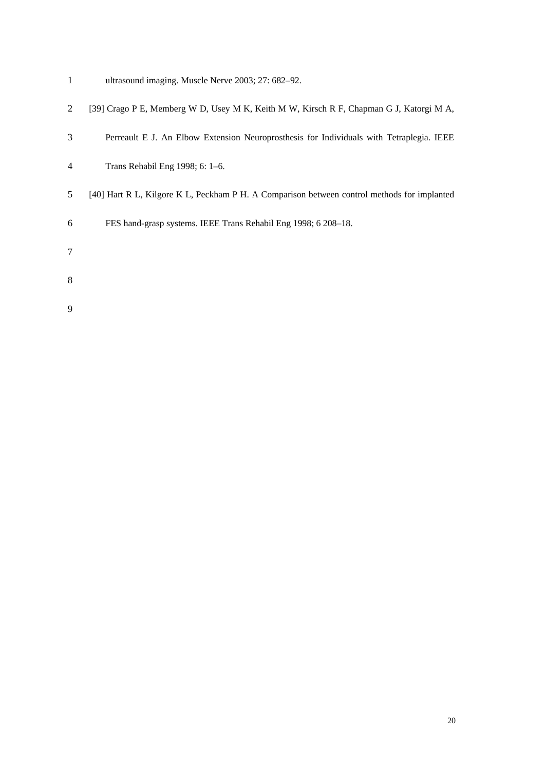- 1 ultrasound imaging. Muscle Nerve 2003; 27: 682–92.
- 2 [39] Crago P E, Memberg W D, Usey M K, Keith M W, Kirsch R F, Chapman G J, Katorgi M A,
- 3 Perreault E J. An Elbow Extension Neuroprosthesis for Individuals with Tetraplegia. IEEE
- 4 Trans Rehabil Eng 1998; 6: 1–6.
- 5 [40] Hart R L, Kilgore K L, Peckham P H. A Comparison between control methods for implanted
- 6 FES hand-grasp systems. IEEE Trans Rehabil Eng 1998; 6 208–18.
- 7
- 
- 8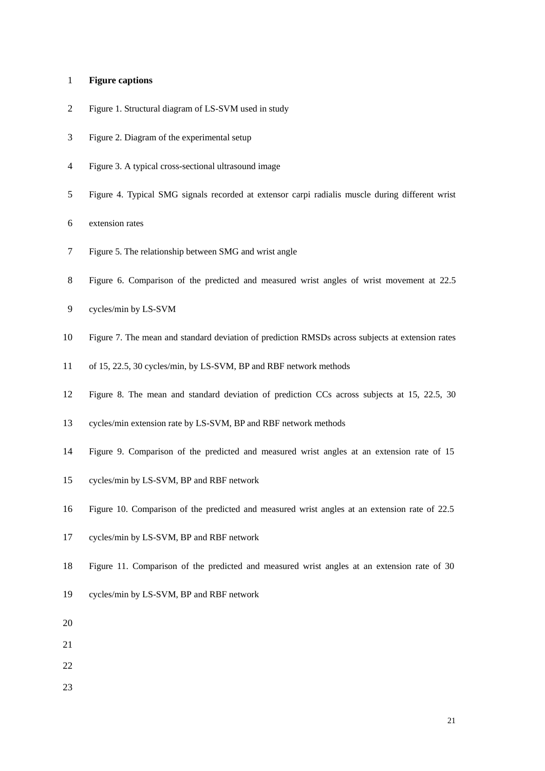# 1 **Figure captions**

- 2 Figure 1. Structural diagram of LS-SVM used in study
- 3 Figure 2. Diagram of the experimental setup
- 4 Figure 3. A typical cross-sectional ultrasound image
- 5 Figure 4. Typical SMG signals recorded at extensor carpi radialis muscle during different wrist
- 6 extension rates
- 7 Figure 5. The relationship between SMG and wrist angle
- 8 Figure 6. Comparison of the predicted and measured wrist angles of wrist movement at 22.5
- 9 cycles/min by LS-SVM
- 10 Figure 7. The mean and standard deviation of prediction RMSDs across subjects at extension rates
- 11 of 15, 22.5, 30 cycles/min, by LS-SVM, BP and RBF network methods
- 12 Figure 8. The mean and standard deviation of prediction CCs across subjects at 15, 22.5, 30
- 13 cycles/min extension rate by LS-SVM, BP and RBF network methods
- 14 Figure 9. Comparison of the predicted and measured wrist angles at an extension rate of 15
- 15 cycles/min by LS-SVM, BP and RBF network
- 16 Figure 10. Comparison of the predicted and measured wrist angles at an extension rate of 22.5
- 17 cycles/min by LS-SVM, BP and RBF network
- 18 Figure 11. Comparison of the predicted and measured wrist angles at an extension rate of 30
- 19 cycles/min by LS-SVM, BP and RBF network
- 20
- 21
- 22
- 23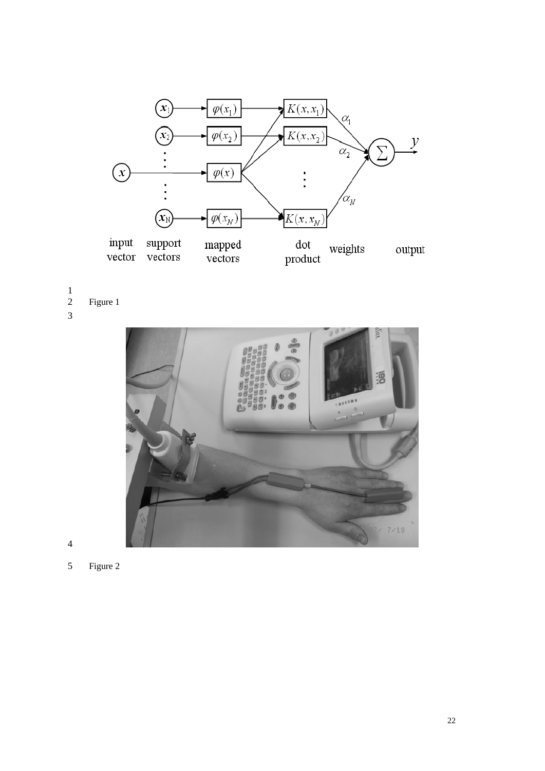

 $\frac{1}{2}$ Figure 1 3



- 4
- 5 Figure 2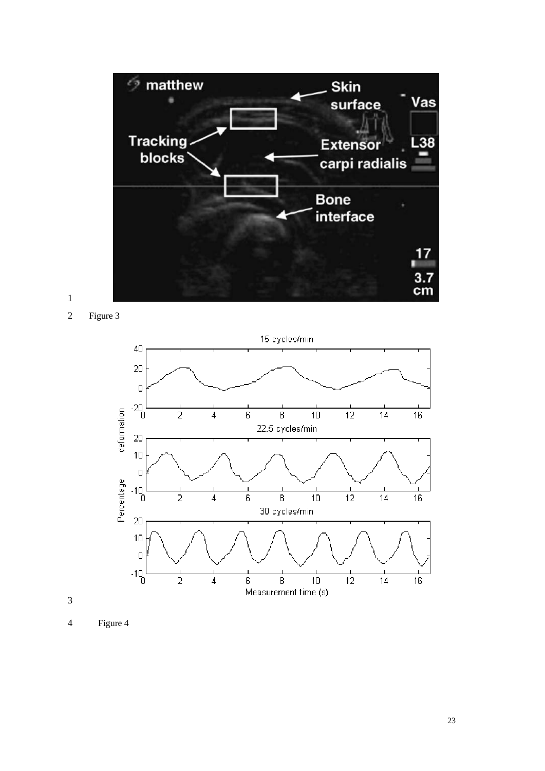

2 Figure 3



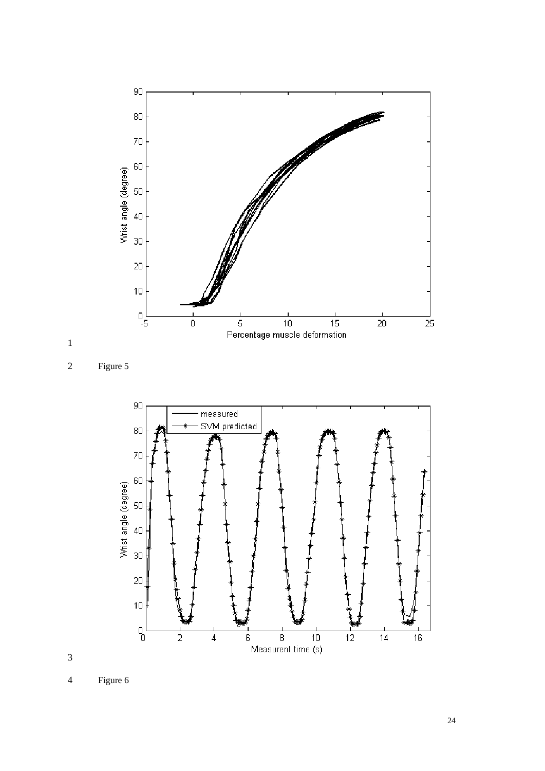





4 Figure 6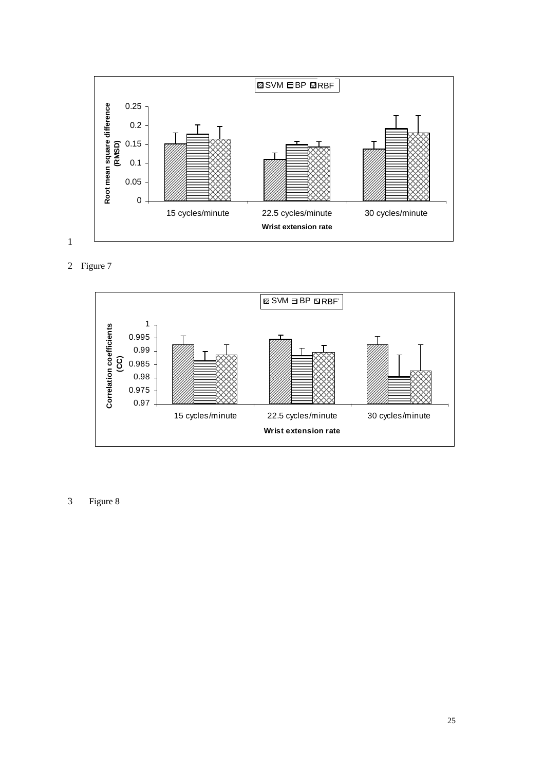

2 Figure 7



3 Figure 8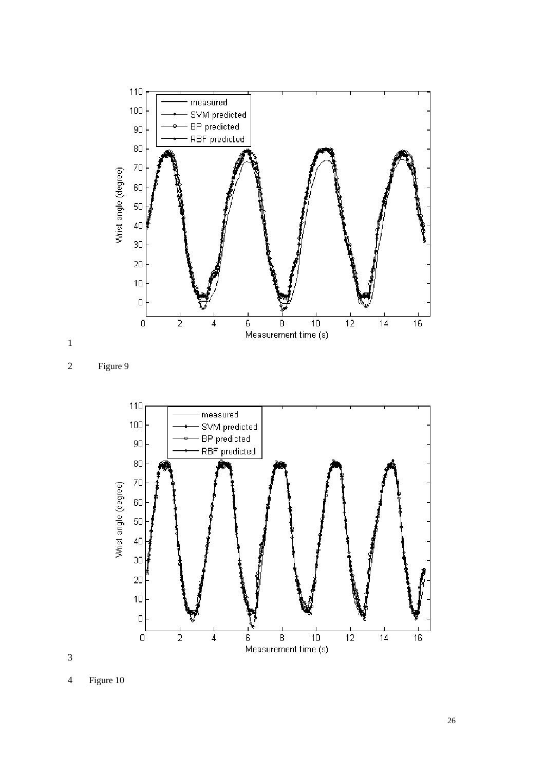





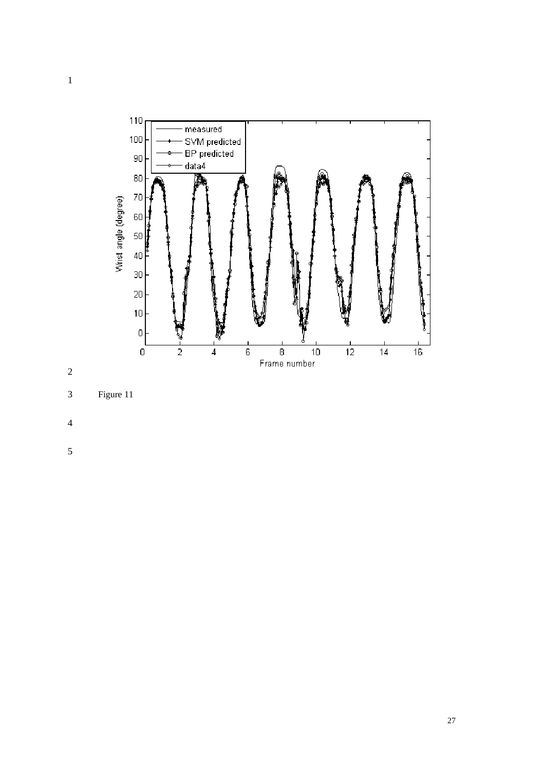